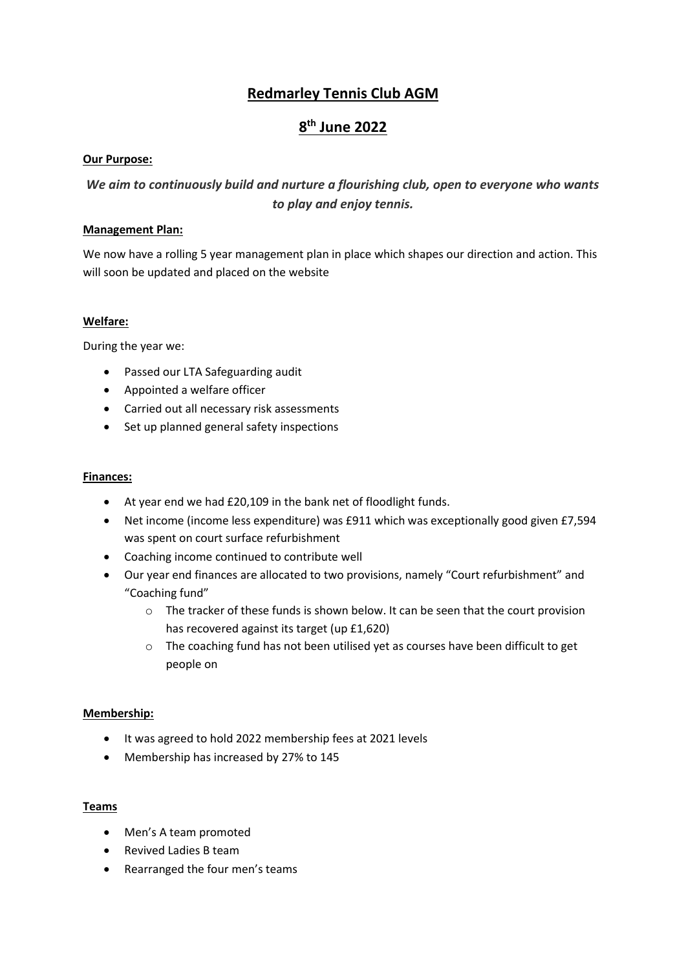## **Redmarley Tennis Club AGM**

# **8 th June 2022**

#### **Our Purpose:**

## *We aim to continuously build and nurture a flourishing club, open to everyone who wants to play and enjoy tennis.*

#### **Management Plan:**

We now have a rolling 5 year management plan in place which shapes our direction and action. This will soon be updated and placed on the website

#### **Welfare:**

During the year we:

- Passed our LTA Safeguarding audit
- Appointed a welfare officer
- Carried out all necessary risk assessments
- Set up planned general safety inspections

#### **Finances:**

- At year end we had £20,109 in the bank net of floodlight funds.
- Net income (income less expenditure) was £911 which was exceptionally good given £7,594 was spent on court surface refurbishment
- Coaching income continued to contribute well
- Our year end finances are allocated to two provisions, namely "Court refurbishment" and "Coaching fund"
	- o The tracker of these funds is shown below. It can be seen that the court provision has recovered against its target (up £1,620)
	- o The coaching fund has not been utilised yet as courses have been difficult to get people on

#### **Membership:**

- It was agreed to hold 2022 membership fees at 2021 levels
- Membership has increased by 27% to 145

#### **Teams**

- Men's A team promoted
- Revived Ladies B team
- Rearranged the four men's teams